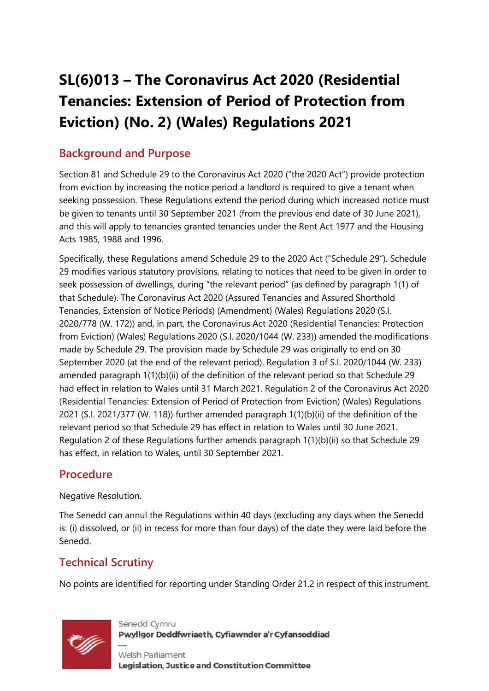# **SL(6)013 – The Coronavirus Act 2020 (Residential Tenancies: Extension of Period of Protection from Eviction) (No. 2) (Wales) Regulations 2021**

### **Background and Purpose**

Section 81 and Schedule 29 to the Coronavirus Act 2020 ("the 2020 Act") provide protection from eviction by increasing the notice period a landlord is required to give a tenant when seeking possession. These Regulations extend the period during which increased notice must be given to tenants until 30 September 2021 (from the previous end date of 30 June 2021), and this will apply to tenancies granted tenancies under the Rent Act 1977 and the Housing Acts 1985, 1988 and 1996.

Specifically, these Regulations amend Schedule 29 to the 2020 Act ("Schedule 29"). Schedule 29 modifies various statutory provisions, relating to notices that need to be given in order to seek possession of dwellings, during "the relevant period" (as defined by paragraph 1(1) of that Schedule). The Coronavirus Act 2020 (Assured Tenancies and Assured Shorthold Tenancies, Extension of Notice Periods) (Amendment) (Wales) Regulations 2020 (S.I. 2020/778 (W. 172)) and, in part, the Coronavirus Act 2020 (Residential Tenancies: Protection from Eviction) (Wales) Regulations 2020 (S.I. 2020/1044 (W. 233)) amended the modifications made by Schedule 29. The provision made by Schedule 29 was originally to end on 30 September 2020 (at the end of the relevant period). Regulation 3 of S.I. 2020/1044 (W. 233) amended paragraph 1(1)(b)(ii) of the definition of the relevant period so that Schedule 29 had effect in relation to Wales until 31 March 2021. Regulation 2 of the Coronavirus Act 2020 (Residential Tenancies: Extension of Period of Protection from Eviction) (Wales) Regulations 2021 (S.I. 2021/377 (W. 118)) further amended paragraph 1(1)(b)(ii) of the definition of the relevant period so that Schedule 29 has effect in relation to Wales until 30 June 2021. Regulation 2 of these Regulations further amends paragraph 1(1)(b)(ii) so that Schedule 29 has effect, in relation to Wales, until 30 September 2021.

### **Procedure**

#### Negative Resolution.

The Senedd can annul the Regulations within 40 days (excluding any days when the Senedd is: (i) dissolved, or (ii) in recess for more than four days) of the date they were laid before the Senedd.

# **Technical Scrutiny**

No points are identified for reporting under Standing Order 21.2 in respect of this instrument.



Senedd Cymru Pwyllgor Deddfwriaeth, Cyfiawnder a'r Cyfansoddiad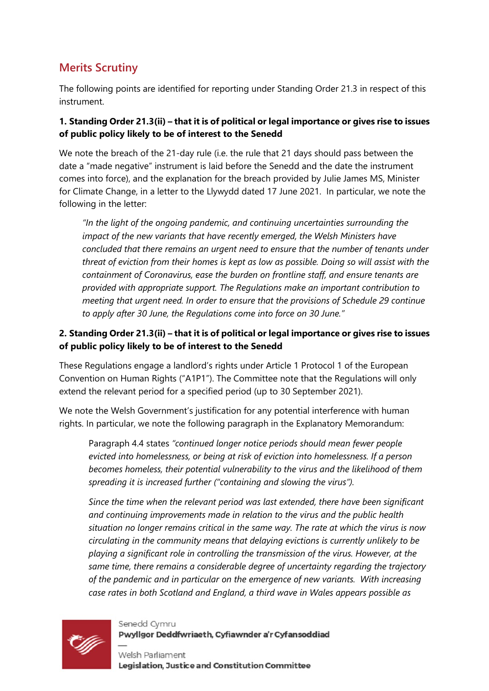### **Merits Scrutiny**

The following points are identified for reporting under Standing Order 21.3 in respect of this instrument.

#### **1. Standing Order 21.3(ii) – that it is of political or legal importance or gives rise to issues of public policy likely to be of interest to the Senedd**

We note the breach of the 21-day rule (i.e. the rule that 21 days should pass between the date a "made negative" instrument is laid before the Senedd and the date the instrument comes into force), and the explanation for the breach provided by Julie James MS, Minister for Climate Change, in a letter to the Llywydd dated 17 June 2021. In particular, we note the following in the letter:

*"In the light of the ongoing pandemic, and continuing uncertainties surrounding the impact of the new variants that have recently emerged, the Welsh Ministers have concluded that there remains an urgent need to ensure that the number of tenants under threat of eviction from their homes is kept as low as possible. Doing so will assist with the containment of Coronavirus, ease the burden on frontline staff, and ensure tenants are provided with appropriate support. The Regulations make an important contribution to meeting that urgent need. In order to ensure that the provisions of Schedule 29 continue to apply after 30 June, the Regulations come into force on 30 June."*

#### **2. Standing Order 21.3(ii) – that it is of political or legal importance or gives rise to issues of public policy likely to be of interest to the Senedd**

These Regulations engage a landlord's rights under Article 1 Protocol 1 of the European Convention on Human Rights ("A1P1"). The Committee note that the Regulations will only extend the relevant period for a specified period (up to 30 September 2021).

We note the Welsh Government's justification for any potential interference with human rights. In particular, we note the following paragraph in the Explanatory Memorandum:

Paragraph 4.4 states *"continued longer notice periods should mean fewer people evicted into homelessness, or being at risk of eviction into homelessness. If a person becomes homeless, their potential vulnerability to the virus and the likelihood of them spreading it is increased further ("containing and slowing the virus").* 

*Since the time when the relevant period was last extended, there have been significant and continuing improvements made in relation to the virus and the public health situation no longer remains critical in the same way. The rate at which the virus is now circulating in the community means that delaying evictions is currently unlikely to be playing a significant role in controlling the transmission of the virus. However, at the same time, there remains a considerable degree of uncertainty regarding the trajectory of the pandemic and in particular on the emergence of new variants. With increasing case rates in both Scotland and England, a third wave in Wales appears possible as* 



Senedd Cymru Pwyllgor Deddfwriaeth, Cyfiawnder a'r Cyfansoddiad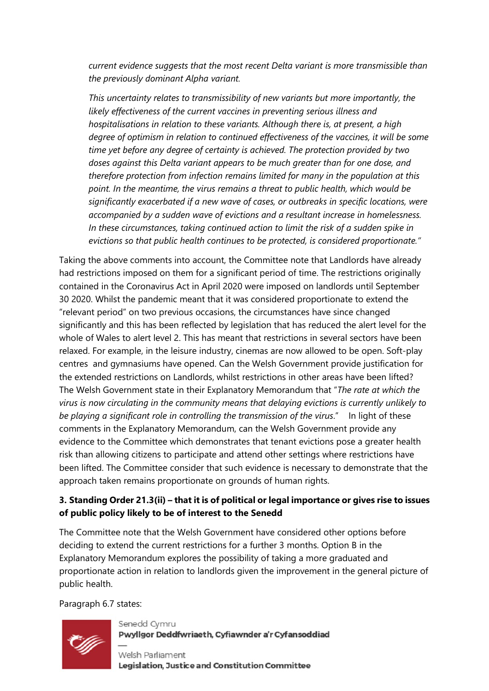*current evidence suggests that the most recent Delta variant is more transmissible than the previously dominant Alpha variant.*

*This uncertainty relates to transmissibility of new variants but more importantly, the likely effectiveness of the current vaccines in preventing serious illness and hospitalisations in relation to these variants. Although there is, at present, a high degree of optimism in relation to continued effectiveness of the vaccines, it will be some time yet before any degree of certainty is achieved. The protection provided by two doses against this Delta variant appears to be much greater than for one dose, and therefore protection from infection remains limited for many in the population at this point. In the meantime, the virus remains a threat to public health, which would be significantly exacerbated if a new wave of cases, or outbreaks in specific locations, were accompanied by a sudden wave of evictions and a resultant increase in homelessness. In these circumstances, taking continued action to limit the risk of a sudden spike in evictions so that public health continues to be protected, is considered proportionate."*

Taking the above comments into account, the Committee note that Landlords have already had restrictions imposed on them for a significant period of time. The restrictions originally contained in the Coronavirus Act in April 2020 were imposed on landlords until September 30 2020. Whilst the pandemic meant that it was considered proportionate to extend the "relevant period" on two previous occasions, the circumstances have since changed significantly and this has been reflected by legislation that has reduced the alert level for the whole of Wales to alert level 2. This has meant that restrictions in several sectors have been relaxed. For example, in the leisure industry, cinemas are now allowed to be open. Soft-play centres and gymnasiums have opened. Can the Welsh Government provide justification for the extended restrictions on Landlords, whilst restrictions in other areas have been lifted? The Welsh Government state in their Explanatory Memorandum that "*The rate at which the virus is now circulating in the community means that delaying evictions is currently unlikely to be playing a significant role in controlling the transmission of the virus*." In light of these comments in the Explanatory Memorandum, can the Welsh Government provide any evidence to the Committee which demonstrates that tenant evictions pose a greater health risk than allowing citizens to participate and attend other settings where restrictions have been lifted. The Committee consider that such evidence is necessary to demonstrate that the approach taken remains proportionate on grounds of human rights.

#### **3. Standing Order 21.3(ii) – that it is of political or legal importance or gives rise to issues of public policy likely to be of interest to the Senedd**

The Committee note that the Welsh Government have considered other options before deciding to extend the current restrictions for a further 3 months. Option B in the Explanatory Memorandum explores the possibility of taking a more graduated and proportionate action in relation to landlords given the improvement in the general picture of public health.

Paragraph 6.7 states:



Senedd Cymru Pwyllgor Deddfwriaeth, Cyfiawnder a'r Cyfansoddiad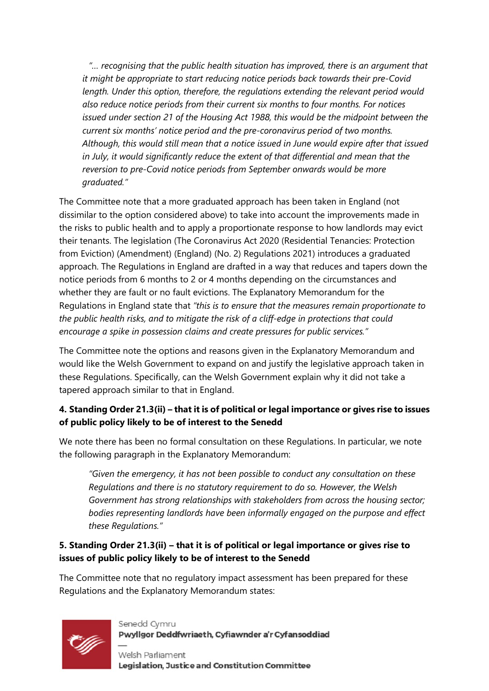*"… recognising that the public health situation has improved, there is an argument that it might be appropriate to start reducing notice periods back towards their pre-Covid length. Under this option, therefore, the regulations extending the relevant period would also reduce notice periods from their current six months to four months. For notices issued under section 21 of the Housing Act 1988, this would be the midpoint between the current six months' notice period and the pre-coronavirus period of two months. Although, this would still mean that a notice issued in June would expire after that issued in July, it would significantly reduce the extent of that differential and mean that the reversion to pre-Covid notice periods from September onwards would be more graduated."*

The Committee note that a more graduated approach has been taken in England (not dissimilar to the option considered above) to take into account the improvements made in the risks to public health and to apply a proportionate response to how landlords may evict their tenants. The legislation (The Coronavirus Act 2020 (Residential Tenancies: Protection from Eviction) (Amendment) (England) (No. 2) Regulations 2021) introduces a graduated approach. The Regulations in England are drafted in a way that reduces and tapers down the notice periods from 6 months to 2 or 4 months depending on the circumstances and whether they are fault or no fault evictions. The Explanatory Memorandum for the Regulations in England state that *"this is to ensure that the measures remain proportionate to the public health risks, and to mitigate the risk of a cliff-edge in protections that could encourage a spike in possession claims and create pressures for public services."*

The Committee note the options and reasons given in the Explanatory Memorandum and would like the Welsh Government to expand on and justify the legislative approach taken in these Regulations. Specifically, can the Welsh Government explain why it did not take a tapered approach similar to that in England.

#### **4. Standing Order 21.3(ii) – that it is of political or legal importance or gives rise to issues of public policy likely to be of interest to the Senedd**

We note there has been no formal consultation on these Regulations. In particular, we note the following paragraph in the Explanatory Memorandum:

*"Given the emergency, it has not been possible to conduct any consultation on these Regulations and there is no statutory requirement to do so. However, the Welsh Government has strong relationships with stakeholders from across the housing sector; bodies representing landlords have been informally engaged on the purpose and effect these Regulations."*

#### **5. Standing Order 21.3(ii) – that it is of political or legal importance or gives rise to issues of public policy likely to be of interest to the Senedd**

The Committee note that no regulatory impact assessment has been prepared for these Regulations and the Explanatory Memorandum states:



#### Senedd Cymru Pwyllgor Deddfwriaeth, Cyfiawnder a'r Cyfansoddiad